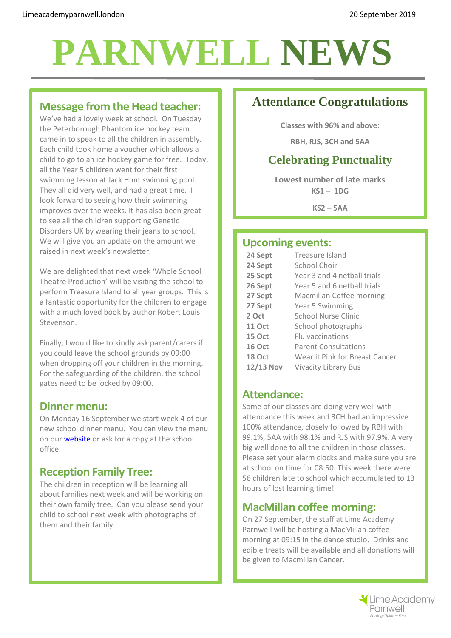# **PARNWELL NEWS**

## **Message from the Head teacher:**

We've had a lovely week at school. On Tuesday the Peterborough Phantom ice hockey team came in to speak to all the children in assembly. Each child took home a voucher which allows a child to go to an ice hockey game for free. Today, all the Year 5 children went for their first swimming lesson at Jack Hunt swimming pool. They all did very well, and had a great time. I look forward to seeing how their swimming improves over the weeks. It has also been great to see all the children supporting Genetic Disorders UK by wearing their jeans to school. We will give you an update on the amount we raised in next week's newsletter.

We are delighted that next week 'Whole School Theatre Production' will be visiting the school to perform Treasure Island to all year groups. This is a fantastic opportunity for the children to engage with a much loved book by author Robert Louis Stevenson.

Finally, I would like to kindly ask parent/carers if you could leave the school grounds by 09:00 when dropping off your children in the morning. For the safeguarding of the children, the school gates need to be locked by 09:00.

### **Dinner menu:**

On Monday 16 September we start week 4 of our new school dinner menu. You can view the menu on ou[r website](http://limeacademyparnwell.london/parent-zone/academy-meals/) or ask for a copy at the school office.

## **Reception Family Tree:**

The children in reception will be learning all about families next week and will be working on their own family tree. Can you please send your child to school next week with photographs of them and their family.

## **Attendance Congratulations**

**Classes with 96% and above:**

**RBH, RJS, 3CH and 5AA**

## **Celebrating Punctuality**

**Lowest number of late marks KS1 – 1DG**

**KS2 – 5AA**

## **Upcoming events:**

| 24 Sept       | Treasure Island                |
|---------------|--------------------------------|
| 24 Sept       | School Choir                   |
| 25 Sept       | Year 3 and 4 netball trials    |
| 26 Sept       | Year 5 and 6 netball trials    |
| 27 Sept       | Macmillan Coffee morning       |
| 27 Sept       | Year 5 Swimming                |
| 2 Oct         | School Nurse Clinic            |
| <b>11 Oct</b> | School photographs             |
| 15 Oct        | <b>Elu</b> vaccinations        |
| <b>16 Oct</b> | <b>Parent Consultations</b>    |
| 18 Oct        | Wear it Pink for Breast Cancer |
| $12/13$ Nov   | <b>Vivacity Library Bus</b>    |
|               |                                |

## **Attendance:**

Some of our classes are doing very well with attendance this week and 3CH had an impressive 100% attendance, closely followed by RBH with 99.1%, 5AA with 98.1% and RJS with 97.9%. A very big well done to all the children in those classes. Please set your alarm clocks and make sure you are at school on time for 08:50. This week there were 56 children late to school which accumulated to 13 hours of lost learning time!

## **MacMillan coffee morning:**

On 27 September, the staff at Lime Academy Parnwell will be hosting a MacMillan coffee morning at 09:15 in the dance studio. Drinks and edible treats will be available and all donations will be given to Macmillan Cancer.